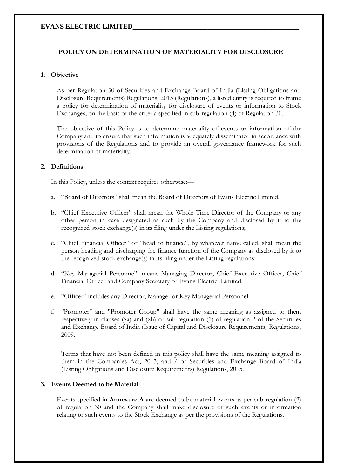# **POLICY ON DETERMINATION OF MATERIALITY FOR DISCLOSURE**

## **1. Objective**

As per Regulation 30 of Securities and Exchange Board of India (Listing Obligations and Disclosure Requirements) Regulations, 2015 (Regulations), a listed entity is required to frame a policy for determination of materiality for disclosure of events or information to Stock Exchanges, on the basis of the criteria specified in sub-regulation (4) of Regulation 30.

The objective of this Policy is to determine materiality of events or information of the Company and to ensure that such information is adequately disseminated in accordance with provisions of the Regulations and to provide an overall governance framework for such determination of materiality.

### **2. Definitions:**

In this Policy, unless the context requires otherwise:—

- a. "Board of Directors" shall mean the Board of Directors of Evans Electric Limited.
- b. "Chief Executive Officer" shall mean the Whole Time Director of the Company or any other person in case designated as such by the Company and disclosed by it to the recognized stock exchange(s) in its filing under the Listing regulations;
- c. "Chief Financial Officer" or "head of finance", by whatever name called, shall mean the person heading and discharging the finance function of the Company as disclosed by it to the recognized stock exchange(s) in its filing under the Listing regulations;
- d. "Key Managerial Personnel" means Managing Director, Chief Executive Officer, Chief Financial Officer and Company Secretary of Evans Electric Limited.
- e. "Officer" includes any Director, Manager or Key Managerial Personnel.
- f. "Promoter" and "Promoter Group" shall have the same meaning as assigned to them respectively in clauses (za) and (zb) of sub-regulation (1) of regulation 2 of the Securities and Exchange Board of India (Issue of Capital and Disclosure Requirements) Regulations, 2009.

Terms that have not been defined in this policy shall have the same meaning assigned to them in the Companies Act, 2013, and / or Securities and Exchange Board of India (Listing Obligations and Disclosure Requirements) Regulations, 2015.

#### **3. Events Deemed to be Material**

Events specified in **Annexure A** are deemed to be material events as per sub-regulation (2) of regulation 30 and the Company shall make disclosure of such events or information relating to such events to the Stock Exchange as per the provisions of the Regulations.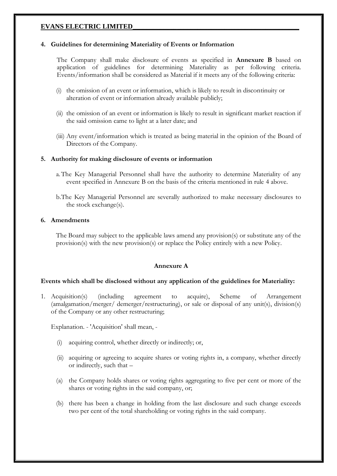#### **4. Guidelines for determining Materiality of Events or Information**

The Company shall make disclosure of events as specified in **Annexure B** based on application of guidelines for determining Materiality as per following criteria. Events/information shall be considered as Material if it meets any of the following criteria:

- (i) the omission of an event or information, which is likely to result in discontinuity or alteration of event or information already available publicly;
- (ii) the omission of an event or information is likely to result in significant market reaction if the said omission came to light at a later date; and
- (iii) Any event/information which is treated as being material in the opinion of the Board of Directors of the Company.

#### **5. Authority for making disclosure of events or information**

- a.The Key Managerial Personnel shall have the authority to determine Materiality of any event specified in Annexure B on the basis of the criteria mentioned in rule 4 above.
- b.The Key Managerial Personnel are severally authorized to make necessary disclosures to the stock exchange(s).

#### **6. Amendments**

The Board may subject to the applicable laws amend any provision(s) or substitute any of the provision(s) with the new provision(s) or replace the Policy entirely with a new Policy.

#### **Annexure A**

#### **Events which shall be disclosed without any application of the guidelines for Materiality:**

1. Acquisition(s) (including agreement to acquire), Scheme of Arrangement (amalgamation/merger/ demerger/restructuring), or sale or disposal of any unit(s), division(s) of the Company or any other restructuring;

Explanation. - 'Acquisition' shall mean, -

- (i) acquiring control, whether directly or indirectly; or,
- (ii) acquiring or agreeing to acquire shares or voting rights in, a company, whether directly or indirectly, such that –
- (a) the Company holds shares or voting rights aggregating to five per cent or more of the shares or voting rights in the said company, or;
- (b) there has been a change in holding from the last disclosure and such change exceeds two per cent of the total shareholding or voting rights in the said company.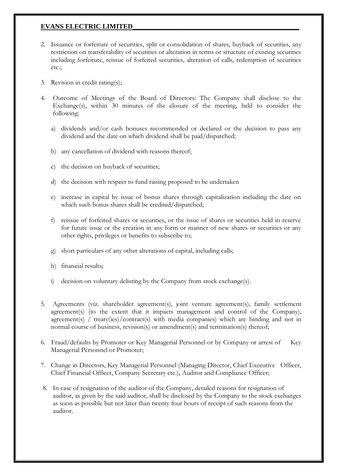- 2. Issuance or forfeiture of securities, split or consolidation of shares, buyback of securities, any restriction on transferability of securities or alteration in terms or structure of existing securities including forfeiture, reissue of forfeited securities, alteration of calls, redemption of securities etc.;
- 3. Revision in credit rating(s);
- 4. Outcome of Meetings of the Board of Directors: The Company shall disclose to the Exchange(s), within 30 minutes of the closure of the meeting, held to consider the following:
	- a) dividends and/or cash bonuses recommended or declared or the decision to pass any dividend and the date on which dividend shall be paid/dispatched;
	- b) any cancellation of dividend with reasons thereof;
	- c) the decision on buyback of securities;
	- d) the decision with respect to fund raising proposed to be undertaken
	- e) increase in capital by issue of bonus shares through capitalization including the date on which such bonus shares shall be credited/dispatched;
	- f) reissue of forfeited shares or securities, or the issue of shares or securities held in reserve for future issue or the creation in any form or manner of new shares or securities or any other rights, privileges or benefits to subscribe to;
	- g) short particulars of any other alterations of capital, including calls;
	- h) financial results;
	- i) decision on voluntary delisting by the Company from stock exchange(s).
- 5. Agreements (viz. shareholder agreement(s), joint venture agreement(s), family settlement agreement(s) (to the extent that it impacts management and control of the Company), agreement(s) / treaty(ies)/contract(s) with media companies) which are binding and not in normal course of business, revision(s) or amendment(s) and termination(s) thereof;
- 6. Fraud/defaults by Promoter or Key Managerial Personnel or by Company or arrest of Key Managerial Personnel or Promoter;
- 7. Change in Directors, Key Managerial Personnel (Managing Director, Chief Executive Officer, Chief Financial Officer, Company Secretary etc.), Auditor and Compliance Officer;
- 8. In case of resignation of the auditor of the Company, detailed reasons for resignation of auditor, as given by the said auditor, shall be disclosed by the Company to the stock exchanges as soon as possible but not later than twenty four hours of receipt of such reasons from the auditor.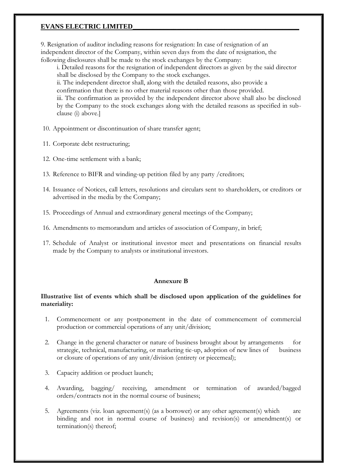9. Resignation of auditor including reasons for resignation: In case of resignation of an independent director of the Company, within seven days from the date of resignation, the following disclosures shall be made to the stock exchanges by the Company:

i. Detailed reasons for the resignation of independent directors as given by the said director shall be disclosed by the Company to the stock exchanges.

ii. The independent director shall, along with the detailed reasons, also provide a

confirmation that there is no other material reasons other than those provided.

iii. The confirmation as provided by the independent director above shall also be disclosed by the Company to the stock exchanges along with the detailed reasons as specified in subclause (i) above.]

- 10. Appointment or discontinuation of share transfer agent;
- 11. Corporate debt restructuring;
- 12. One-time settlement with a bank;
- 13. Reference to BIFR and winding-up petition filed by any party /creditors;
- 14. Issuance of Notices, call letters, resolutions and circulars sent to shareholders, or creditors or advertised in the media by the Company;
- 15. Proceedings of Annual and extraordinary general meetings of the Company;
- 16. Amendments to memorandum and articles of association of Company, in brief;
- 17. Schedule of Analyst or institutional investor meet and presentations on financial results made by the Company to analysts or institutional investors.

# **Annexure B**

## **Illustrative list of events which shall be disclosed upon application of the guidelines for materiality:**

- 1. Commencement or any postponement in the date of commencement of commercial production or commercial operations of any unit/division;
- 2. Change in the general character or nature of business brought about by arrangements for strategic, technical, manufacturing, or marketing tie-up, adoption of new lines of business or closure of operations of any unit/division (entirety or piecemeal);
- 3. Capacity addition or product launch;
- 4. Awarding, bagging/ receiving, amendment or termination of awarded/bagged orders/contracts not in the normal course of business;
- 5. Agreements (viz. loan agreement(s) (as a borrower) or any other agreement(s) which are binding and not in normal course of business) and revision(s) or amendment(s) or termination(s) thereof;